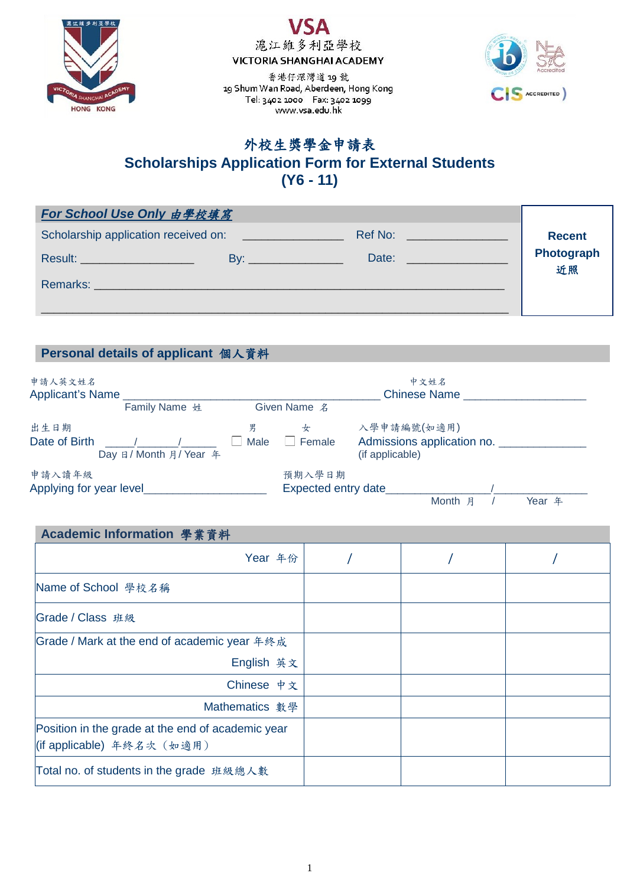

## **VSA** 滬江維多利亞學校 **VICTORIA SHANGHAI ACADEMY**

香港仔深灣道19號 19 Shum Wan Road, Aberdeen, Hong Kong Tel: 3402 1000 Fax: 3402 1099 www.vsa.edu.hk



# 外校生獎學金申請表 **Scholarships Application Form for External Students (Y6 - 11)**

| For School Use Only 由學校填寫                                                                |                                        |                        |               |
|------------------------------------------------------------------------------------------|----------------------------------------|------------------------|---------------|
| Scholarship application received on:                                                     | a sa salah sahiji désa di kacamatan    | <b>Ref No: Ref No:</b> | <b>Recent</b> |
| Result: _____________________                                                            | <b>By:</b> <u>____________________</u> | Date: <b>Date:</b>     | Photograph    |
| Remarks: Engineering and the contract of the contract of the contract of the contract of |                                        |                        | 近照            |

## **Personal details of applicant** 個人資料

| 申請人英文姓名<br><b>Applicant's Name</b> |                        | 中文姓名<br><b>Chinese Name</b> |                               |                                                              |        |
|------------------------------------|------------------------|-----------------------------|-------------------------------|--------------------------------------------------------------|--------|
|                                    | Family Name 姓          |                             | Given Name 名                  |                                                              |        |
| 出生日期<br>Date of Birth              | Day 日/ Month 月/ Year 年 | 男<br>Male                   | 女<br>Female<br>$\blacksquare$ | 入學申請編號(如適用)<br>Admissions application no.<br>(if applicable) |        |
| 申請入讀年級<br>Applying for year level  |                        |                             | 預期入學日期<br>Expected entry date | Month 月                                                      | Year 年 |

### **Academic Information** 學業資料

| Year 年份<br>English 英文<br>Chinese 中文<br>Mathematics 數學 |  |
|-------------------------------------------------------|--|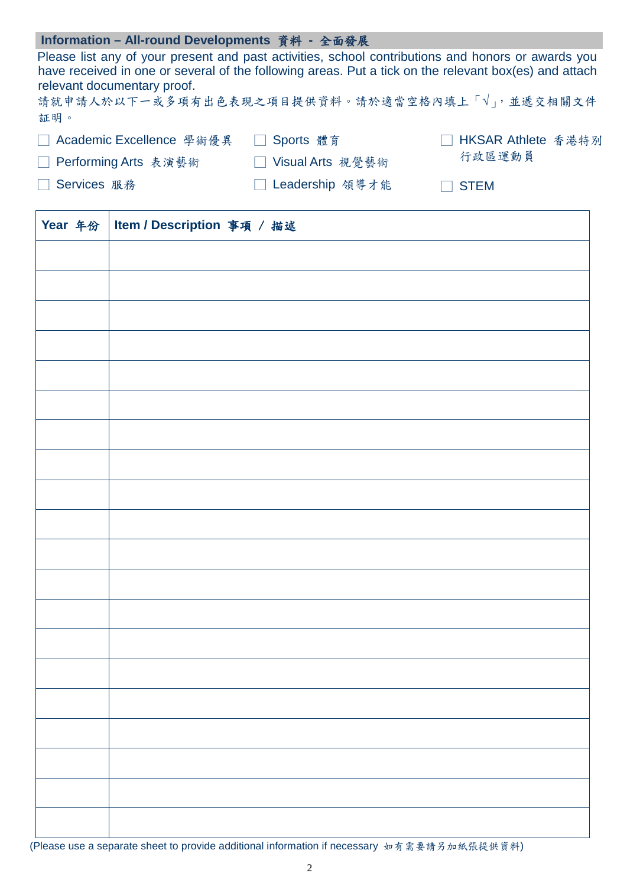| Information - All-round Developments 資料 - 全面發展                                                                                                                                                                                                                                              |                                                                       |             |
|---------------------------------------------------------------------------------------------------------------------------------------------------------------------------------------------------------------------------------------------------------------------------------------------|-----------------------------------------------------------------------|-------------|
| Please list any of your present and past activities, school contributions and honors or awards you<br>have received in one or several of the following areas. Put a tick on the relevant box(es) and attach<br>relevant documentary proof.<br>請就申請人於以下一或多項有出色表現之項目提供資料。請於適當空格內填上「√」,並遞交相關文件 |                                                                       |             |
| 証明。                                                                                                                                                                                                                                                                                         |                                                                       |             |
|                                                                                                                                                                                                                                                                                             | Academic Excellence 學術優異<br>Sports 體育<br>HKSAR Athlete 香港特別<br>$\Box$ |             |
| Performing Arts 表演藝術                                                                                                                                                                                                                                                                        | □ Visual Arts 視覺藝術                                                    | 行政區運動員      |
| Services 服務                                                                                                                                                                                                                                                                                 | Leadership 領導才能                                                       | <b>STEM</b> |
| Year 年份<br>Item / Description 事項 / 描述                                                                                                                                                                                                                                                       |                                                                       |             |
|                                                                                                                                                                                                                                                                                             |                                                                       |             |
|                                                                                                                                                                                                                                                                                             |                                                                       |             |
|                                                                                                                                                                                                                                                                                             |                                                                       |             |
|                                                                                                                                                                                                                                                                                             |                                                                       |             |
|                                                                                                                                                                                                                                                                                             |                                                                       |             |
|                                                                                                                                                                                                                                                                                             |                                                                       |             |
|                                                                                                                                                                                                                                                                                             |                                                                       |             |
|                                                                                                                                                                                                                                                                                             |                                                                       |             |
|                                                                                                                                                                                                                                                                                             |                                                                       |             |
|                                                                                                                                                                                                                                                                                             |                                                                       |             |
|                                                                                                                                                                                                                                                                                             |                                                                       |             |
|                                                                                                                                                                                                                                                                                             |                                                                       |             |
|                                                                                                                                                                                                                                                                                             |                                                                       |             |
|                                                                                                                                                                                                                                                                                             |                                                                       |             |
|                                                                                                                                                                                                                                                                                             |                                                                       |             |
|                                                                                                                                                                                                                                                                                             |                                                                       |             |
|                                                                                                                                                                                                                                                                                             |                                                                       |             |
|                                                                                                                                                                                                                                                                                             |                                                                       |             |
|                                                                                                                                                                                                                                                                                             |                                                                       |             |

(Please use a separate sheet to provide additional information if necessary 如有需要請另加紙張提供資料)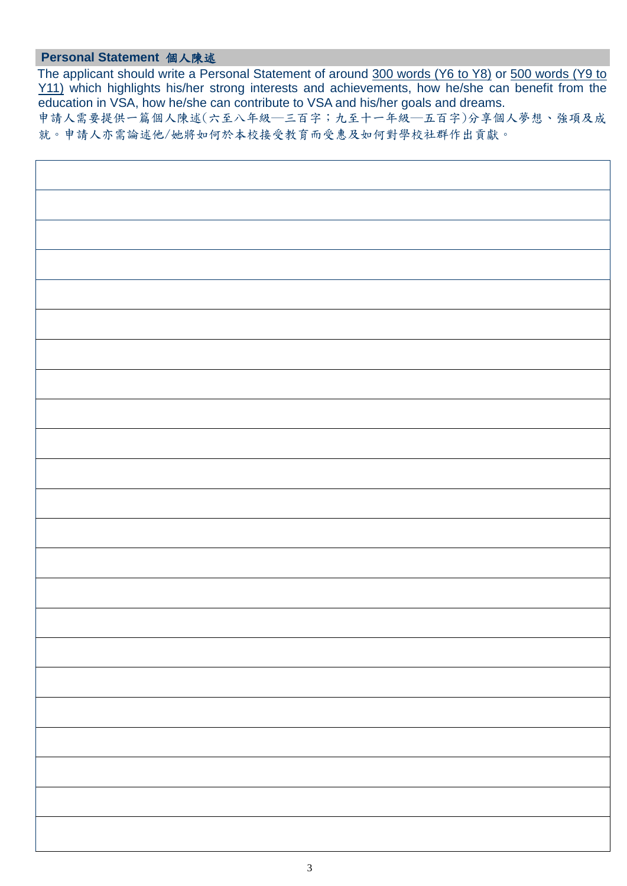### **Personal Statement** 個人陳述

The applicant should write a Personal Statement of around 300 words (Y6 to Y8) or 500 words (Y9 to Y11) which highlights his/her strong interests and achievements, how he/she can benefit from the education in VSA, how he/she can contribute to VSA and his/her goals and dreams. 申請人需要提供一篇個人陳述(六至八年級─三百字;九至十一年級─五百字)分享個人夢想、強項及成 就。申請人亦需論述他/她將如何於本校接受教育而受惠及如何對學校社群作出貢獻。